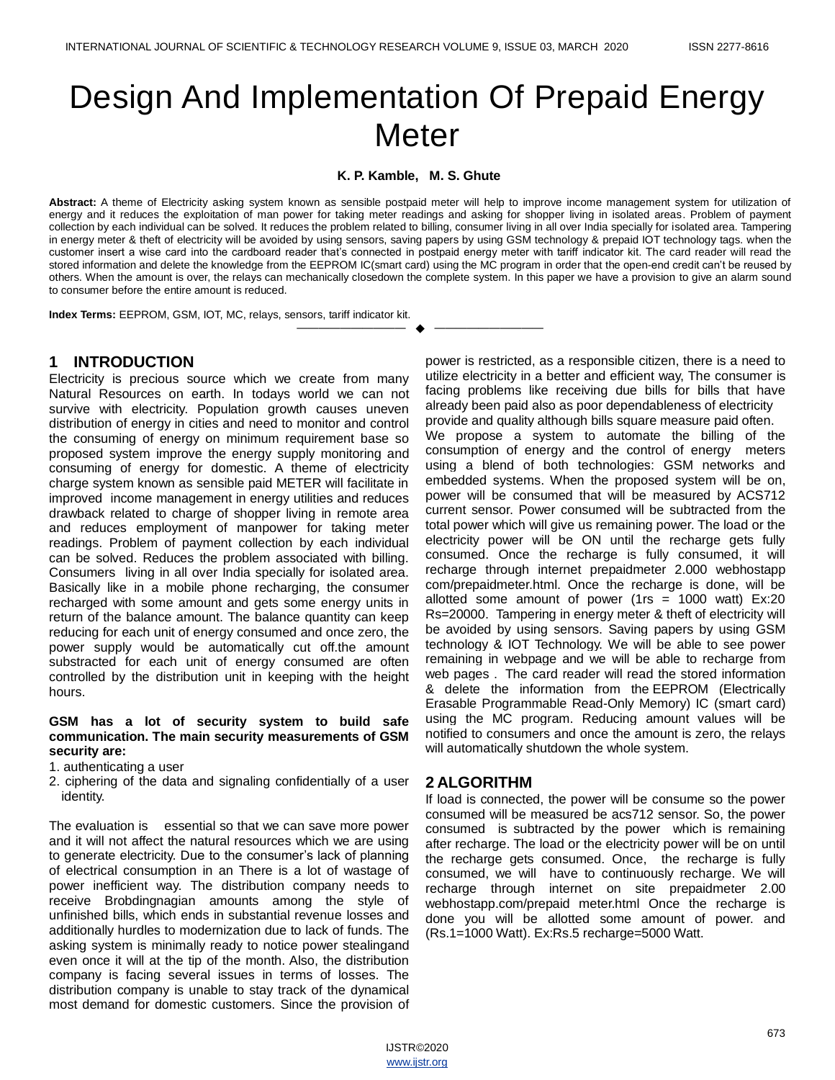# Design And Implementation Of Prepaid Energy Meter

#### **K. P. Kamble, M. S. Ghute**

**Abstract:** A theme of Electricity asking system known as sensible postpaid meter will help to improve income management system for utilization of energy and it reduces the exploitation of man power for taking meter readings and asking for shopper living in isolated areas. Problem of payment collection by each individual can be solved. It reduces the problem related to billing, consumer living in all over India specially for isolated area. Tampering in energy meter & theft of electricity will be avoided by using sensors, saving papers by using GSM technology & prepaid IOT technology tags. when the customer insert a wise card into the cardboard reader that's connected in postpaid energy meter with tariff indicator kit. The card reader will read the stored information and delete the knowledge from the EEPROM IC(smart card) using the MC program in order that the open-end credit can't be reused by others. When the amount is over, the relays can mechanically closedown the complete system. In this paper we have a provision to give an alarm sound to consumer before the entire amount is reduced.

—————————— ——————————

**Index Terms:** EEPROM, GSM, IOT, MC, relays, sensors, tariff indicator kit.

## **1 INTRODUCTION**

Electricity is precious source which we create from many Natural Resources on earth. In todays world we can not survive with electricity. Population growth causes uneven distribution of energy in cities and need to monitor and control the consuming of energy on minimum requirement base so proposed system improve the energy supply monitoring and consuming of energy for domestic. A theme of electricity charge system known as sensible paid METER will facilitate in improved income management in energy utilities and reduces drawback related to charge of shopper living in remote area and reduces employment of manpower for taking meter readings. Problem of payment collection by each individual can be solved. Reduces the problem associated with billing. Consumers living in all over India specially for isolated area. Basically like in a mobile phone recharging, the consumer recharged with some amount and gets some energy units in return of the balance amount. The balance quantity can keep reducing for each unit of energy consumed and once zero, the power supply would be automatically cut off.the amount substracted for each unit of energy consumed are often controlled by the distribution unit in keeping with the height hours.

#### **GSM has a lot of security system to build safe communication. The main security measurements of GSM security are:**

- 1. authenticating a user
- 2. ciphering of the data and signaling confidentially of a user identity.

The evaluation is essential so that we can save more power and it will not affect the natural resources which we are using to generate electricity. Due to the consumer's lack of planning of electrical consumption in an There is a lot of wastage of power inefficient way. The distribution company needs to receive Brobdingnagian amounts among the style of unfinished bills, which ends in substantial revenue losses and additionally hurdles to modernization due to lack of funds. The asking system is minimally ready to notice power stealingand even once it will at the tip of the month. Also, the distribution company is facing several issues in terms of losses. The distribution company is unable to stay track of the dynamical most demand for domestic customers. Since the provision of

power is restricted, as a responsible citizen, there is a need to utilize electricity in a better and efficient way, The consumer is facing problems like receiving due bills for bills that have already been paid also as poor dependableness of electricity provide and quality although bills square measure paid often. We propose a system to automate the billing of the consumption of energy and the control of energy meters using a blend of both technologies: GSM networks and embedded systems. When the proposed system will be on, power will be consumed that will be measured by ACS712 current sensor. Power consumed will be subtracted from the total power which will give us remaining power. The load or the electricity power will be ON until the recharge gets fully consumed. Once the recharge is fully consumed, it will recharge through internet prepaidmeter 2.000 webhostapp com/prepaidmeter.html. Once the recharge is done, will be allotted some amount of power (1rs = 1000 watt)  $Ex:20$ Rs=20000. Tampering in energy meter & theft of electricity will be avoided by using sensors. Saving papers by using GSM technology & IOT Technology. We will be able to see power remaining in webpage and we will be able to recharge from web pages . The card reader will read the stored information & delete the information from the EEPROM (Electrically Erasable Programmable Read-Only Memory) IC (smart card) using the MC program. Reducing amount values will be notified to consumers and once the amount is zero, the relays will automatically shutdown the whole system.

#### **2 ALGORITHM**

If load is connected, the power will be consume so the power consumed will be measured be acs712 sensor. So, the power consumed is subtracted by the power which is remaining after recharge. The load or the electricity power will be on until the recharge gets consumed. Once, the recharge is fully consumed, we will have to continuously recharge. We will recharge through internet on site prepaidmeter 2.00 webhostapp.com/prepaid meter.html Once the recharge is done you will be allotted some amount of power. and (Rs.1=1000 Watt). Ex:Rs.5 recharge=5000 Watt.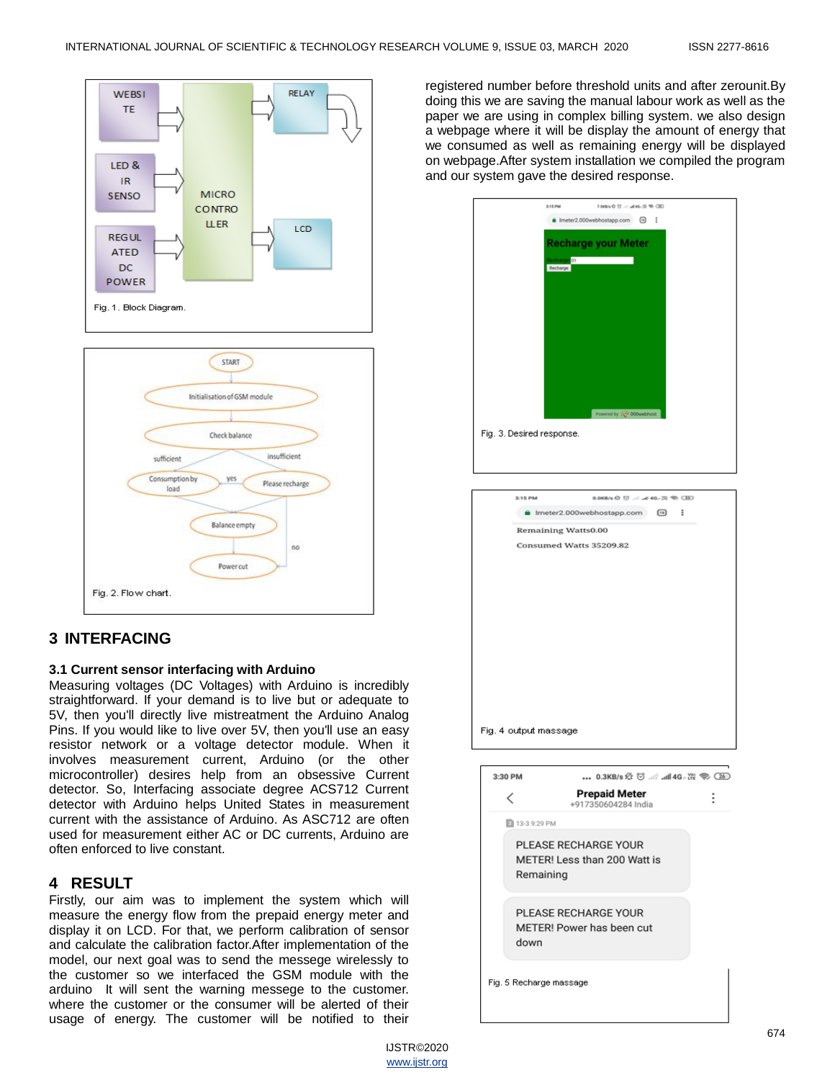

# **3 INTERFACING**

#### **3.1 Current sensor interfacing with Arduino**

Measuring voltages (DC Voltages) with Arduino is incredibly straightforward. If your demand is to live but or adequate to 5V, then you'll directly live mistreatment the Arduino Analog Pins. If you would like to live over 5V, then you'll use an easy resistor network or a voltage detector module. When it involves measurement current, Arduino (or the other microcontroller) desires help from an obsessive Current detector. So, Interfacing associate degree ACS712 Current detector with Arduino helps United States in measurement current with the assistance of Arduino. As ASC712 are often used for measurement either AC or DC currents, Arduino are often enforced to live constant.

### **4 RESULT**

Firstly, our aim was to implement the system which will measure the energy flow from the prepaid energy meter and display it on LCD. For that, we perform calibration of sensor and calculate the calibration factor.After implementation of the model, our next goal was to send the messege wirelessly to the customer so we interfaced the GSM module with the arduino It will sent the warning messege to the customer. where the customer or the consumer will be alerted of their usage of energy. The customer will be notified to their

registered number before threshold units and after zerounit.By doing this we are saving the manual labour work as well as the paper we are using in complex billing system. we also design a webpage where it will be display the amount of energy that we consumed as well as remaining energy will be displayed on webpage.After system installation we compiled the program and our system gave the desired response.





IJSTR©2020 www.ijstr.org